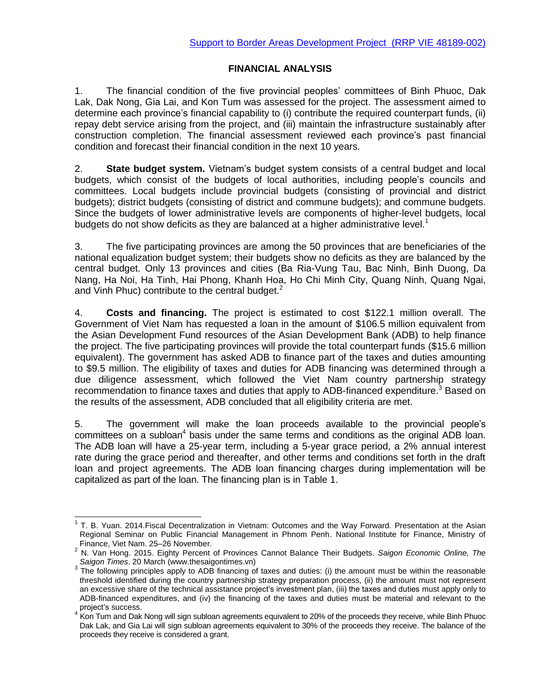## **FINANCIAL ANALYSIS**

1. The financial condition of the five provincial peoples' committees of Binh Phuoc, Dak Lak, Dak Nong, Gia Lai, and Kon Tum was assessed for the project. The assessment aimed to determine each province's financial capability to (i) contribute the required counterpart funds, (ii) repay debt service arising from the project, and (iii) maintain the infrastructure sustainably after construction completion. The financial assessment reviewed each province's past financial condition and forecast their financial condition in the next 10 years.

2. **State budget system.** Vietnam's budget system consists of a central budget and local budgets, which consist of the budgets of local authorities, including people's councils and committees. Local budgets include provincial budgets (consisting of provincial and district budgets); district budgets (consisting of district and commune budgets); and commune budgets. Since the budgets of lower administrative levels are components of higher-level budgets, local budgets do not show deficits as they are balanced at a higher administrative level. $1$ 

3. The five participating provinces are among the 50 provinces that are beneficiaries of the national equalization budget system; their budgets show no deficits as they are balanced by the central budget. Only 13 provinces and cities (Ba Ria-Vung Tau, Bac Ninh, Binh Duong, Da Nang, Ha Noi, Ha Tinh, Hai Phong, Khanh Hoa, Ho Chi Minh City, Quang Ninh, Quang Ngai, and Vinh Phuc) contribute to the central budget.<sup>2</sup>

4. **Costs and financing.** The project is estimated to cost \$122.1 million overall. The Government of Viet Nam has requested a loan in the amount of \$106.5 million equivalent from the Asian Development Fund resources of the Asian Development Bank (ADB) to help finance the project. The five participating provinces will provide the total counterpart funds (\$15.6 million equivalent). The government has asked ADB to finance part of the taxes and duties amounting to \$9.5 million. The eligibility of taxes and duties for ADB financing was determined through a due diligence assessment, which followed the Viet Nam country partnership strategy recommendation to finance taxes and duties that apply to ADB-financed expenditure.<sup>3</sup> Based on the results of the assessment, ADB concluded that all eligibility criteria are met.

5. The government will make the loan proceeds available to the provincial people's committees on a subloan<sup>4</sup> basis under the same terms and conditions as the original ADB loan. The ADB loan will have a 25-year term, including a 5-year grace period, a 2% annual interest rate during the grace period and thereafter, and other terms and conditions set forth in the draft loan and project agreements. The ADB loan financing charges during implementation will be capitalized as part of the loan. The financing plan is in Table 1.

 $\overline{a}$ 

<sup>1</sup> T. B. Yuan. 2014.Fiscal Decentralization in Vietnam: Outcomes and the Way Forward*.* Presentation at the Asian Regional Seminar on Public Financial Management in Phnom Penh. National Institute for Finance, Ministry of Finance, Viet Nam. 25–26 November.

<sup>2</sup> N. Van Hong. 2015. Eighty Percent of Provinces Cannot Balance Their Budgets. *Saigon Economic Online, The Saigon Times*. 20 March (www.thesaigontimes.vn)

 $3$  The following principles apply to ADB financing of taxes and duties: (i) the amount must be within the reasonable threshold identified during the country partnership strategy preparation process, (ii) the amount must not represent an excessive share of the technical assistance project's investment plan, (iii) the taxes and duties must apply only to ADB-financed expenditures, and (iv) the financing of the taxes and duties must be material and relevant to the project's success.

<sup>&</sup>lt;sup>4</sup> Kon Tum and Dak Nong will sign subloan agreements equivalent to 20% of the proceeds they receive, while Binh Phuoc Dak Lak, and Gia Lai will sign subloan agreements equivalent to 30% of the proceeds they receive. The balance of the proceeds they receive is considered a grant.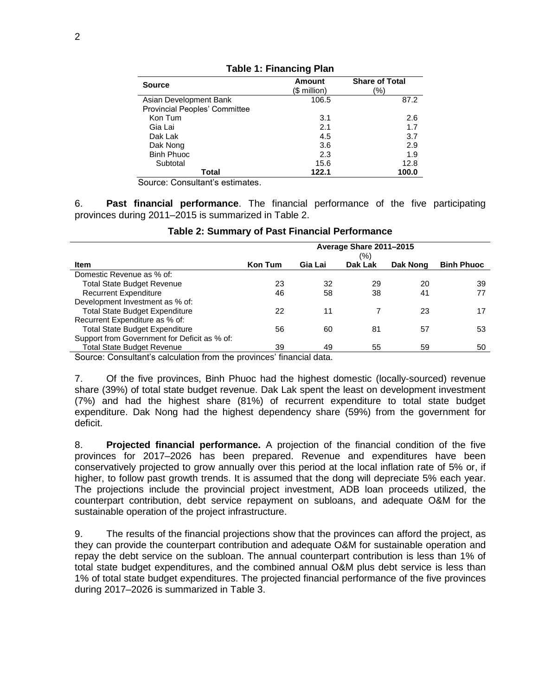| <b>Source</b>                 | <b>Amount</b> | <b>Share of Total</b> |  |  |
|-------------------------------|---------------|-----------------------|--|--|
|                               | (\$ million)  | (%)                   |  |  |
| Asian Development Bank        | 106.5         | 87.2                  |  |  |
| Provincial Peoples' Committee |               |                       |  |  |
| Kon Tum                       | 3.1           | 2.6                   |  |  |
| Gia Lai                       | 2.1           | 1.7                   |  |  |
| Dak Lak                       | 4.5           | 3.7                   |  |  |
| Dak Nong                      | 3.6           | 2.9                   |  |  |
| <b>Binh Phuoc</b>             | 2.3           | 1.9                   |  |  |
| Subtotal                      | 15.6          | 12.8                  |  |  |
| Total                         | 122.1         | 100.0                 |  |  |

**Table 1: Financing Plan**

Source: Consultant's estimates.

6. **Past financial performance**. The financial performance of the five participating provinces during 2011–2015 is summarized in Table 2.

|                                              | Average Share 2011-2015<br>(%) |         |         |          |                   |  |  |
|----------------------------------------------|--------------------------------|---------|---------|----------|-------------------|--|--|
| <b>Item</b>                                  | <b>Kon Tum</b>                 | Gia Lai | Dak Lak | Dak Nong | <b>Binh Phuoc</b> |  |  |
| Domestic Revenue as % of:                    |                                |         |         |          |                   |  |  |
| <b>Total State Budget Revenue</b>            | 23                             | 32      | 29      | 20       | 39                |  |  |
| <b>Recurrent Expenditure</b>                 | 46                             | 58      | 38      | 41       | 77                |  |  |
| Development Investment as % of:              |                                |         |         |          |                   |  |  |
| <b>Total State Budget Expenditure</b>        | 22                             | 11      |         | 23       | 17                |  |  |
| Recurrent Expenditure as % of:               |                                |         |         |          |                   |  |  |
| <b>Total State Budget Expenditure</b>        | 56                             | 60      | 81      | 57       | 53                |  |  |
| Support from Government for Deficit as % of: |                                |         |         |          |                   |  |  |
| <b>Total State Budget Revenue</b>            | 39                             | 49      | 55      | 59       | 50                |  |  |

Source: Consultant's calculation from the provinces' financial data.

7. Of the five provinces, Binh Phuoc had the highest domestic (locally-sourced) revenue share (39%) of total state budget revenue. Dak Lak spent the least on development investment (7%) and had the highest share (81%) of recurrent expenditure to total state budget expenditure. Dak Nong had the highest dependency share (59%) from the government for deficit.

8. **Projected financial performance.** A projection of the financial condition of the five provinces for 2017–2026 has been prepared. Revenue and expenditures have been conservatively projected to grow annually over this period at the local inflation rate of 5% or, if higher, to follow past growth trends. It is assumed that the dong will depreciate 5% each year. The projections include the provincial project investment, ADB loan proceeds utilized, the counterpart contribution, debt service repayment on subloans, and adequate O&M for the sustainable operation of the project infrastructure.

9. The results of the financial projections show that the provinces can afford the project, as they can provide the counterpart contribution and adequate O&M for sustainable operation and repay the debt service on the subloan. The annual counterpart contribution is less than 1% of total state budget expenditures, and the combined annual O&M plus debt service is less than 1% of total state budget expenditures. The projected financial performance of the five provinces during 2017–2026 is summarized in Table 3.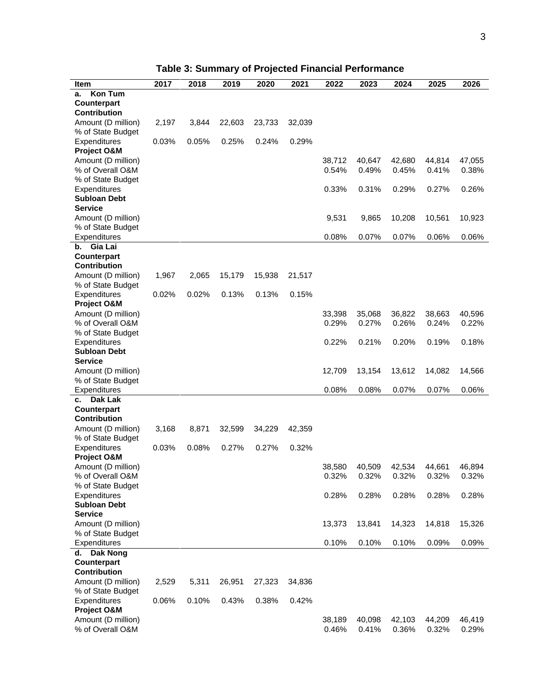| <b>Item</b>                          | 2017  | 2018  | 2019   | 2020   | 2021   | 2022   | 2023   | 2024   | 2025   | 2026   |
|--------------------------------------|-------|-------|--------|--------|--------|--------|--------|--------|--------|--------|
| <b>Kon Tum</b><br>а.                 |       |       |        |        |        |        |        |        |        |        |
| Counterpart                          |       |       |        |        |        |        |        |        |        |        |
| <b>Contribution</b>                  |       |       |        |        |        |        |        |        |        |        |
| Amount (D million)                   | 2,197 | 3,844 | 22,603 | 23,733 | 32,039 |        |        |        |        |        |
| % of State Budget<br>Expenditures    | 0.03% | 0.05% | 0.25%  | 0.24%  | 0.29%  |        |        |        |        |        |
| Project O&M                          |       |       |        |        |        |        |        |        |        |        |
| Amount (D million)                   |       |       |        |        |        | 38,712 | 40,647 | 42,680 | 44,814 | 47,055 |
| % of Overall O&M                     |       |       |        |        |        | 0.54%  | 0.49%  | 0.45%  | 0.41%  | 0.38%  |
| % of State Budget                    |       |       |        |        |        |        |        |        |        |        |
| Expenditures                         |       |       |        |        |        | 0.33%  | 0.31%  | 0.29%  | 0.27%  | 0.26%  |
| <b>Subloan Debt</b>                  |       |       |        |        |        |        |        |        |        |        |
| <b>Service</b>                       |       |       |        |        |        |        |        |        |        |        |
| Amount (D million)                   |       |       |        |        |        | 9,531  | 9,865  | 10,208 | 10,561 | 10,923 |
| % of State Budget                    |       |       |        |        |        |        |        |        |        |        |
| Expenditures<br>Gia Lai<br>b.        |       |       |        |        |        | 0.08%  | 0.07%  | 0.07%  | 0.06%  | 0.06%  |
| <b>Counterpart</b>                   |       |       |        |        |        |        |        |        |        |        |
| <b>Contribution</b>                  |       |       |        |        |        |        |        |        |        |        |
| Amount (D million)                   | 1,967 | 2,065 | 15,179 | 15,938 | 21,517 |        |        |        |        |        |
| % of State Budget                    |       |       |        |        |        |        |        |        |        |        |
| Expenditures                         | 0.02% | 0.02% | 0.13%  | 0.13%  | 0.15%  |        |        |        |        |        |
| Project O&M                          |       |       |        |        |        |        |        |        |        |        |
| Amount (D million)                   |       |       |        |        |        | 33,398 | 35,068 | 36,822 | 38,663 | 40,596 |
| % of Overall O&M                     |       |       |        |        |        | 0.29%  | 0.27%  | 0.26%  | 0.24%  | 0.22%  |
| % of State Budget                    |       |       |        |        |        |        |        |        |        |        |
| Expenditures<br><b>Subloan Debt</b>  |       |       |        |        |        | 0.22%  | 0.21%  | 0.20%  | 0.19%  | 0.18%  |
| <b>Service</b>                       |       |       |        |        |        |        |        |        |        |        |
| Amount (D million)                   |       |       |        |        |        | 12,709 | 13,154 | 13,612 | 14,082 | 14,566 |
| % of State Budget                    |       |       |        |        |        |        |        |        |        |        |
| Expenditures                         |       |       |        |        |        | 0.08%  | 0.08%  | 0.07%  | 0.07%  | 0.06%  |
| Dak Lak<br>c.                        |       |       |        |        |        |        |        |        |        |        |
| Counterpart                          |       |       |        |        |        |        |        |        |        |        |
| Contribution                         |       |       |        |        |        |        |        |        |        |        |
| Amount (D million)                   | 3,168 | 8,871 | 32,599 | 34,229 | 42,359 |        |        |        |        |        |
| % of State Budget                    | 0.03% | 0.08% | 0.27%  | 0.27%  | 0.32%  |        |        |        |        |        |
| Expenditures<br>Project O&M          |       |       |        |        |        |        |        |        |        |        |
| Amount (D million)                   |       |       |        |        |        | 38,580 | 40,509 | 42,534 | 44,661 | 46,894 |
| % of Overall O&M                     |       |       |        |        |        | 0.32%  | 0.32%  | 0.32%  | 0.32%  | 0.32%  |
| % of State Budget                    |       |       |        |        |        |        |        |        |        |        |
| Expenditures                         |       |       |        |        |        | 0.28%  | 0.28%  | 0.28%  | 0.28%  | 0.28%  |
| <b>Subloan Debt</b>                  |       |       |        |        |        |        |        |        |        |        |
| <b>Service</b>                       |       |       |        |        |        |        |        |        |        |        |
| Amount (D million)                   |       |       |        |        |        | 13,373 | 13,841 | 14,323 | 14,818 | 15,326 |
| % of State Budget                    |       |       |        |        |        |        |        |        |        |        |
| Expenditures                         |       |       |        |        |        | 0.10%  | 0.10%  | 0.10%  | 0.09%  | 0.09%  |
| <b>Dak Nong</b><br>d.<br>Counterpart |       |       |        |        |        |        |        |        |        |        |
| <b>Contribution</b>                  |       |       |        |        |        |        |        |        |        |        |
| Amount (D million)                   | 2,529 | 5,311 | 26,951 | 27,323 | 34,836 |        |        |        |        |        |
| % of State Budget                    |       |       |        |        |        |        |        |        |        |        |
| Expenditures                         | 0.06% | 0.10% | 0.43%  | 0.38%  | 0.42%  |        |        |        |        |        |
| Project O&M                          |       |       |        |        |        |        |        |        |        |        |
| Amount (D million)                   |       |       |        |        |        | 38,189 | 40,098 | 42,103 | 44,209 | 46,419 |
| % of Overall O&M                     |       |       |        |        |        | 0.46%  | 0.41%  | 0.36%  | 0.32%  | 0.29%  |

**Table 3: Summary of Projected Financial Performance**